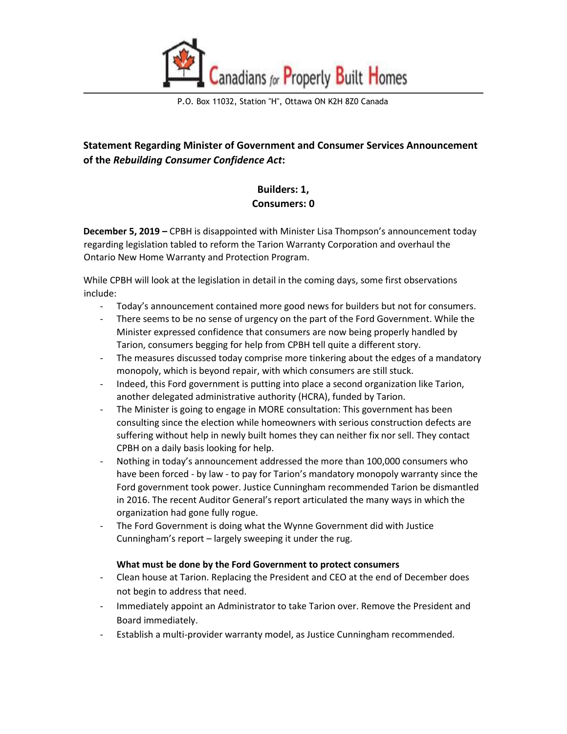

P.O. Box 11032, Station "H", Ottawa ON K2H 8Z0 Canada

# **Statement Regarding Minister of Government and Consumer Services Announcement of the** *Rebuilding Consumer Confidence Act***:**

# **Builders: 1, Consumers: 0**

**December 5, 2019 –** CPBH is disappointed with Minister Lisa Thompson's announcement today regarding legislation tabled to reform the Tarion Warranty Corporation and overhaul the Ontario New Home Warranty and Protection Program.

While CPBH will look at the legislation in detail in the coming days, some first observations include:

- Today's announcement contained more good news for builders but not for consumers.
- There seems to be no sense of urgency on the part of the Ford Government. While the Minister expressed confidence that consumers are now being properly handled by Tarion, consumers begging for help from CPBH tell quite a different story.
- The measures discussed today comprise more tinkering about the edges of a mandatory monopoly, which is beyond repair, with which consumers are still stuck.
- Indeed, this Ford government is putting into place a second organization like Tarion, another delegated administrative authority (HCRA), funded by Tarion.
- The Minister is going to engage in MORE consultation: This government has been consulting since the election while homeowners with serious construction defects are suffering without help in newly built homes they can neither fix nor sell. They contact CPBH on a daily basis looking for help.
- Nothing in today's announcement addressed the more than 100,000 consumers who have been forced - by law - to pay for Tarion's mandatory monopoly warranty since the Ford government took power. Justice Cunningham recommended Tarion be dismantled in 2016. The recent Auditor General's report articulated the many ways in which the organization had gone fully rogue.
- The Ford Government is doing what the Wynne Government did with Justice Cunningham's report – largely sweeping it under the rug.

#### **What must be done by the Ford Government to protect consumers**

- Clean house at Tarion. Replacing the President and CEO at the end of December does not begin to address that need.
- Immediately appoint an Administrator to take Tarion over. Remove the President and Board immediately.
- Establish a multi-provider warranty model, as Justice Cunningham recommended.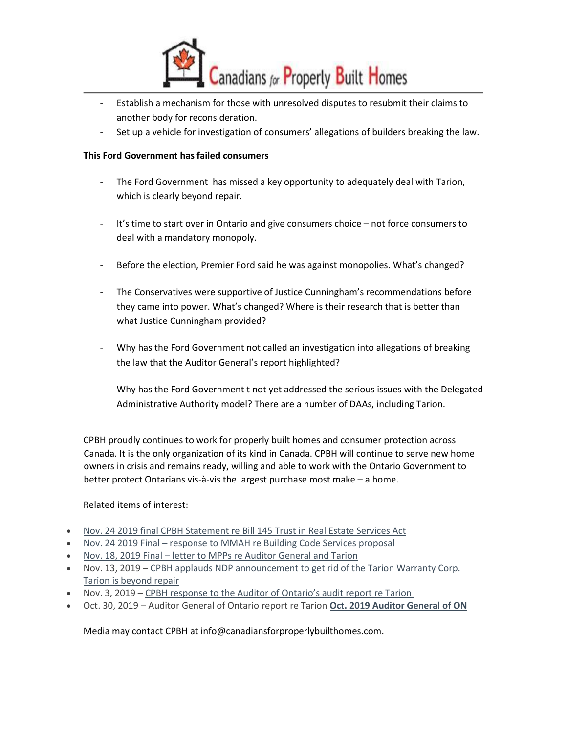

- Establish a mechanism for those with unresolved disputes to resubmit their claims to another body for reconsideration.
- Set up a vehicle for investigation of consumers' allegations of builders breaking the law.

### **This Ford Government has failed consumers**

- The Ford Government has missed a key opportunity to adequately deal with Tarion, which is clearly beyond repair.
- It's time to start over in Ontario and give consumers choice not force consumers to deal with a mandatory monopoly.
- Before the election, Premier Ford said he was against monopolies. What's changed?
- The Conservatives were supportive of Justice Cunningham's recommendations before they came into power. What's changed? Where is their research that is better than what Justice Cunningham provided?
- Why has the Ford Government not called an investigation into allegations of breaking the law that the Auditor General's report highlighted?
- Why has the Ford Government t not yet addressed the serious issues with the Delegated Administrative Authority model? There are a number of DAAs, including Tarion.

CPBH proudly continues to work for properly built homes and consumer protection across Canada. It is the only organization of its kind in Canada. CPBH will continue to serve new home owners in crisis and remains ready, willing and able to work with the Ontario Government to better protect Ontarians vis-à-vis the largest purchase most make – a home.

### Related items of interest:

- [Nov. 24 2019 final CPBH Statement re Bill 145 Trust in Real Estate Services Act](http://canadiansforproperlybuilthomes.com/whats-new/nov-24-2019-final-cpbh-statement-re-bill-145-trust-in-real-estate-services-act/)
- Nov. 24 2019 Final [response to MMAH re Building Code Services proposal](http://canadiansforproperlybuilthomes.com/whats-new/nov-24-2019-final-response-to-mmah-re-building-code-services-proposal/)
- Nov. 18, 2019 Final letter to [MPPs re Auditor General and Tarion](http://canadiansforproperlybuilthomes.com/whats-new/nov-18-2019-final-letter-to-mpps-re-auditor-general-and-tarion/)
- Nov. 13, 2019 CPBH applauds NDP announcement to get rid of the Tarion Warranty Corp. [Tarion is beyond repair](http://canadiansforproperlybuilthomes.com/whats-new/nov13-19-cpbhresponse-announcementandreahorwath-1-2/)
- Nov. 3, 2019 [CPBH response to the Auditor of Ontario's audit report re Tarion](http://canadiansforproperlybuilthomes.com/whats-new/11-3-19finalcpbhstatement-agofonaudit-tarion/)
- Oct. 30, 2019 Auditor General of Ontario report re Tarion **[Oct. 2019 Auditor General of ON](http://canadiansforproperlybuilthomes.com/whats-new/oct-2019-auditor-general-of-on/)**

Media may contact CPBH at info@canadiansforproperlybuilthomes.com.